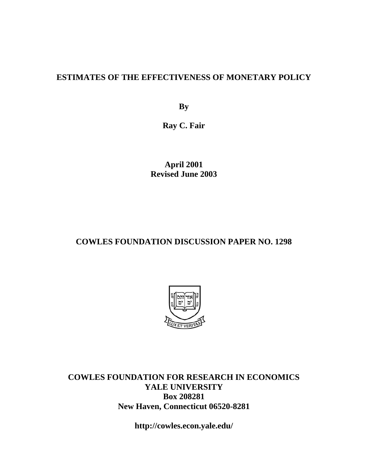### **ESTIMATES OF THE EFFECTIVENESS OF MONETARY POLICY**

**By** 

**Ray C. Fair** 

**April 2001 Revised June 2003** 

### **COWLES FOUNDATION DISCUSSION PAPER NO. 1298**



**COWLES FOUNDATION FOR RESEARCH IN ECONOMICS YALE UNIVERSITY Box 208281 New Haven, Connecticut 06520-8281** 

**http://cowles.econ.yale.edu/**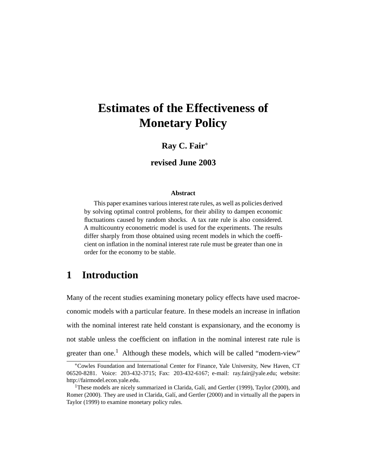# **Estimates of the Effectiveness of Monetary Policy**

### **Ray C. Fair**<sup>∗</sup>

#### **revised June 2003**

#### **Abstract**

This paper examines various interest rate rules, as well as policies derived by solving optimal control problems, for their ability to dampen economic fluctuations caused by random shocks. A tax rate rule is also considered. A multicountry econometric model is used for the experiments. The results differ sharply from those obtained using recent models in which the coefficient on inflation in the nominal interest rate rule must be greater than one in order for the economy to be stable.

### **1 Introduction**

Many of the recent studies examining monetary policy effects have used macroeconomic models with a particular feature. In these models an increase in inflation with the nominal interest rate held constant is expansionary, and the economy is not stable unless the coefficient on inflation in the nominal interest rate rule is greater than one.<sup>1</sup> Although these models, which will be called "modern-view"

<sup>∗</sup>Cowles Foundation and International Center for Finance, Yale University, New Haven, CT 06520-8281. Voice: 203-432-3715; Fax: 203-432-6167; e-mail: ray.fair@yale.edu; website: http://fairmodel.econ.yale.edu.

<sup>&</sup>lt;sup>1</sup>These models are nicely summarized in Clarida, Galí, and Gertler (1999), Taylor (2000), and Romer (2000). They are used in Clarida, Galí, and Gertler (2000) and in virtually all the papers in Taylor (1999) to examine monetary policy rules.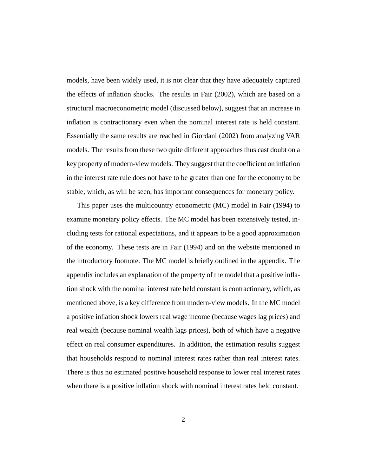models, have been widely used, it is not clear that they have adequately captured the effects of inflation shocks. The results in Fair (2002), which are based on a structural macroeconometric model (discussed below), suggest that an increase in inflation is contractionary even when the nominal interest rate is held constant. Essentially the same results are reached in Giordani (2002) from analyzing VAR models. The results from these two quite different approaches thus cast doubt on a key property of modern-view models. They suggest that the coefficient on inflation in the interest rate rule does not have to be greater than one for the economy to be stable, which, as will be seen, has important consequences for monetary policy.

This paper uses the multicountry econometric (MC) model in Fair (1994) to examine monetary policy effects. The MC model has been extensively tested, including tests for rational expectations, and it appears to be a good approximation of the economy. These tests are in Fair (1994) and on the website mentioned in the introductory footnote. The MC model is briefly outlined in the appendix. The appendix includes an explanation of the property of the model that a positive inflation shock with the nominal interest rate held constant is contractionary, which, as mentioned above, is a key difference from modern-view models. In the MC model a positive inflation shock lowers real wage income (because wages lag prices) and real wealth (because nominal wealth lags prices), both of which have a negative effect on real consumer expenditures. In addition, the estimation results suggest that households respond to nominal interest rates rather than real interest rates. There is thus no estimated positive household response to lower real interest rates when there is a positive inflation shock with nominal interest rates held constant.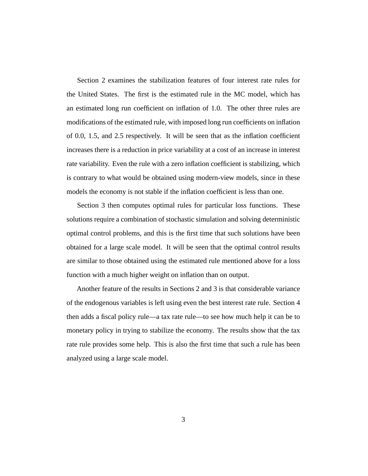Section 2 examines the stabilization features of four interest rate rules for the United States. The first is the estimated rule in the MC model, which has an estimated long run coefficient on inflation of 1.0. The other three rules are modifications of the estimated rule, with imposed long run coefficients on inflation of 0.0, 1.5, and 2.5 respectively. It will be seen that as the inflation coefficient increases there is a reduction in price variability at a cost of an increase in interest rate variability. Even the rule with a zero inflation coefficient is stabilizing, which is contrary to what would be obtained using modern-view models, since in these models the economy is not stable if the inflation coefficient is less than one.

Section 3 then computes optimal rules for particular loss functions. These solutions require a combination of stochastic simulation and solving deterministic optimal control problems, and this is the first time that such solutions have been obtained for a large scale model. It will be seen that the optimal control results are similar to those obtained using the estimated rule mentioned above for a loss function with a much higher weight on inflation than on output.

Another feature of the results in Sections 2 and 3 is that considerable variance of the endogenous variables is left using even the best interest rate rule. Section 4 then adds a fiscal policy rule—a tax rate rule—to see how much help it can be to monetary policy in trying to stabilize the economy. The results show that the tax rate rule provides some help. This is also the first time that such a rule has been analyzed using a large scale model.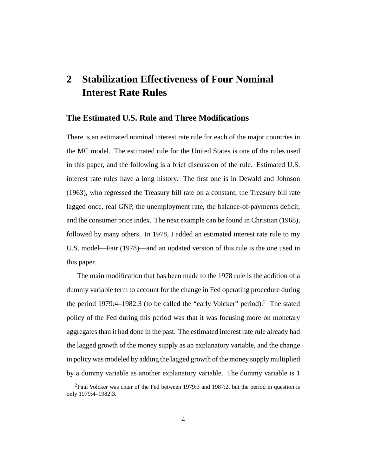## **2 Stabilization Effectiveness of Four Nominal Interest Rate Rules**

#### **The Estimated U.S. Rule and Three Modifications**

There is an estimated nominal interest rate rule for each of the major countries in the MC model. The estimated rule for the United States is one of the rules used in this paper, and the following is a brief discussion of the rule. Estimated U.S. interest rate rules have a long history. The first one is in Dewald and Johnson (1963), who regressed the Treasury bill rate on a constant, the Treasury bill rate lagged once, real GNP, the unemployment rate, the balance-of-payments deficit, and the consumer price index. The next example can be found in Christian (1968), followed by many others. In 1978, I added an estimated interest rate rule to my U.S. model—Fair (1978)—and an updated version of this rule is the one used in this paper.

The main modification that has been made to the 1978 rule is the addition of a dummy variable term to account for the change in Fed operating procedure during the period 1979:4–1982:3 (to be called the "early Volcker" period).<sup>2</sup> The stated policy of the Fed during this period was that it was focusing more on monetary aggregates than it had done in the past. The estimated interest rate rule already had the lagged growth of the money supply as an explanatory variable, and the change in policy was modeled by adding the lagged growth of the money supply multiplied by a dummy variable as another explanatory variable. The dummy variable is 1

 $^{2}$ Paul Volcker was chair of the Fed between 1979:3 and 1987:2, but the period in question is only 1979:4–1982:3.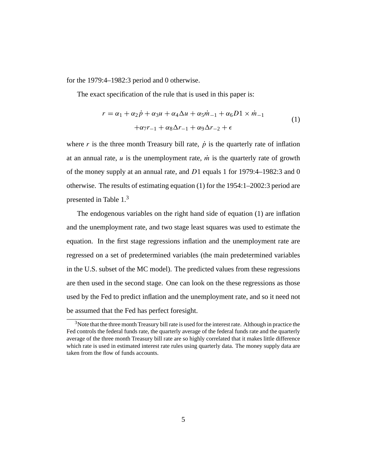for the 1979:4–1982:3 period and 0 otherwise.

The exact specification of the rule that is used in this paper is:

$$
r = \alpha_1 + \alpha_2 \dot{p} + \alpha_3 u + \alpha_4 \Delta u + \alpha_5 \dot{m}_{-1} + \alpha_6 D1 \times \dot{m}_{-1}
$$
  
 
$$
+ \alpha_7 r_{-1} + \alpha_8 \Delta r_{-1} + \alpha_9 \Delta r_{-2} + \epsilon
$$
 (1)

where r is the three month Treasury bill rate,  $\dot{p}$  is the quarterly rate of inflation at an annual rate,  $u$  is the unemployment rate,  $\dot{m}$  is the quarterly rate of growth of the money supply at an annual rate, and D1 equals 1 for 1979:4–1982:3 and 0 otherwise. The results of estimating equation (1) for the 1954:1–2002:3 period are presented in Table 1.3

The endogenous variables on the right hand side of equation (1) are inflation and the unemployment rate, and two stage least squares was used to estimate the equation. In the first stage regressions inflation and the unemployment rate are regressed on a set of predetermined variables (the main predetermined variables in the U.S. subset of the MC model). The predicted values from these regressions are then used in the second stage. One can look on the these regressions as those used by the Fed to predict inflation and the unemployment rate, and so it need not be assumed that the Fed has perfect foresight.

<sup>&</sup>lt;sup>3</sup>Note that the three month Treasury bill rate is used for the interest rate. Although in practice the Fed controls the federal funds rate, the quarterly average of the federal funds rate and the quarterly average of the three month Treasury bill rate are so highly correlated that it makes little difference which rate is used in estimated interest rate rules using quarterly data. The money supply data are taken from the flow of funds accounts.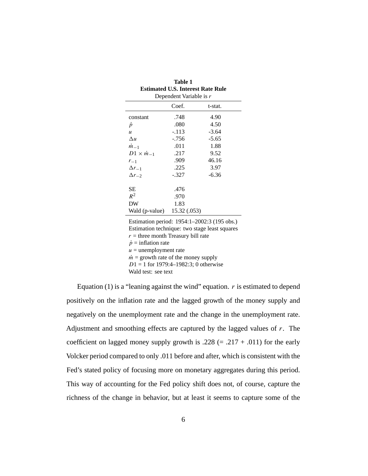| тане т<br><b>Estimated U.S. Interest Rate Rule</b><br>Dependent Variable is r |              |         |  |  |          |       |         |
|-------------------------------------------------------------------------------|--------------|---------|--|--|----------|-------|---------|
|                                                                               |              |         |  |  |          | Coef. | t-stat. |
|                                                                               |              |         |  |  | constant | .748  | 4.90    |
| $\dot{p}$                                                                     | .080         | 4.50    |  |  |          |       |         |
| $\boldsymbol{u}$                                                              | $-.113$      | $-3.64$ |  |  |          |       |         |
| $\Delta u$                                                                    | $-.756$      | $-5.65$ |  |  |          |       |         |
| $m_{-1}$                                                                      | .011         | 1.88    |  |  |          |       |         |
| $D1 \times m_{-1}$                                                            | .217         | 9.52    |  |  |          |       |         |
| $r_{-1}$                                                                      | .909         | 46.16   |  |  |          |       |         |
| $\Delta r_{-1}$                                                               | .225         | 3.97    |  |  |          |       |         |
| $\Delta r_{-2}$                                                               | -.327        | -6.36   |  |  |          |       |         |
|                                                                               |              |         |  |  |          |       |         |
| SЕ                                                                            | .476         |         |  |  |          |       |         |
| $R^2$                                                                         | .970         |         |  |  |          |       |         |
| DW                                                                            | 1.83         |         |  |  |          |       |         |
| Wald (p-value)                                                                | 15.32 (.053) |         |  |  |          |       |         |
|                                                                               |              |         |  |  |          |       |         |

**Table 1**

Estimation period: 1954:1–2002:3 (195 obs.) Estimation technique: two stage least squares  $r =$  three month Treasury bill rate  $\dot{p}$  = inflation rate  $u =$  unemployment rate  $\dot{m}$  = growth rate of the money supply  $D1 = 1$  for 1979:4-1982:3; 0 otherwise Wald test: see text

Equation (1) is a "leaning against the wind" equation.  $r$  is estimated to depend positively on the inflation rate and the lagged growth of the money supply and negatively on the unemployment rate and the change in the unemployment rate. Adjustment and smoothing effects are captured by the lagged values of  $r$ . The coefficient on lagged money supply growth is .228 (= .217 + .011) for the early Volcker period compared to only .011 before and after, which is consistent with the Fed's stated policy of focusing more on monetary aggregates during this period. This way of accounting for the Fed policy shift does not, of course, capture the richness of the change in behavior, but at least it seems to capture some of the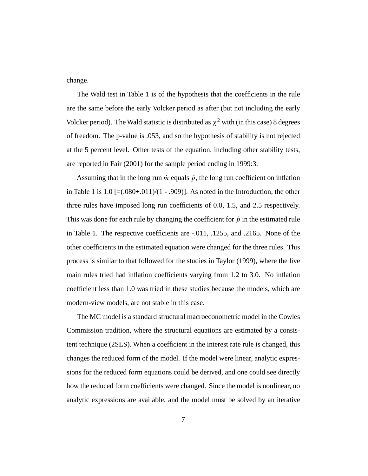change.

The Wald test in Table 1 is of the hypothesis that the coefficients in the rule are the same before the early Volcker period as after (but not including the early Volcker period). The Wald statistic is distributed as  $\chi^2$  with (in this case) 8 degrees of freedom. The p-value is .053, and so the hypothesis of stability is not rejected at the 5 percent level. Other tests of the equation, including other stability tests, are reported in Fair (2001) for the sample period ending in 1999:3.

Assuming that in the long run  $\dot{m}$  equals  $\dot{p}$ , the long run coefficient on inflation in Table 1 is  $1.0$  [= $(.080+.011)/(1-.909)$ ]. As noted in the Introduction, the other three rules have imposed long run coefficients of 0.0, 1.5, and 2.5 respectively. This was done for each rule by changing the coefficient for  $\dot{p}$  in the estimated rule in Table 1. The respective coefficients are -.011, .1255, and .2165. None of the other coefficients in the estimated equation were changed for the three rules. This process is similar to that followed for the studies in Taylor (1999), where the five main rules tried had inflation coefficients varying from 1.2 to 3.0. No inflation coefficient less than 1.0 was tried in these studies because the models, which are modern-view models, are not stable in this case.

The MC model is a standard structural macroeconometric model in the Cowles Commission tradition, where the structural equations are estimated by a consistent technique (2SLS). When a coefficient in the interest rate rule is changed, this changes the reduced form of the model. If the model were linear, analytic expressions for the reduced form equations could be derived, and one could see directly how the reduced form coefficients were changed. Since the model is nonlinear, no analytic expressions are available, and the model must be solved by an iterative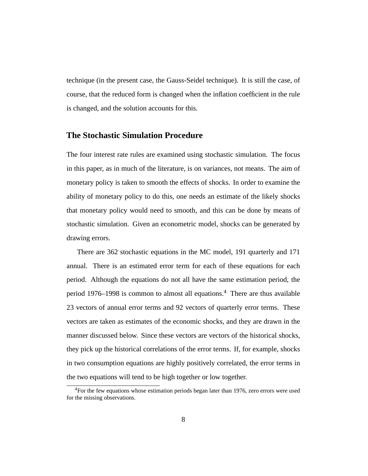technique (in the present case, the Gauss-Seidel technique). It is still the case, of course, that the reduced form is changed when the inflation coefficient in the rule is changed, and the solution accounts for this.

#### **The Stochastic Simulation Procedure**

The four interest rate rules are examined using stochastic simulation. The focus in this paper, as in much of the literature, is on variances, not means. The aim of monetary policy is taken to smooth the effects of shocks. In order to examine the ability of monetary policy to do this, one needs an estimate of the likely shocks that monetary policy would need to smooth, and this can be done by means of stochastic simulation. Given an econometric model, shocks can be generated by drawing errors.

There are 362 stochastic equations in the MC model, 191 quarterly and 171 annual. There is an estimated error term for each of these equations for each period. Although the equations do not all have the same estimation period, the period 1976–1998 is common to almost all equations.4 There are thus available 23 vectors of annual error terms and 92 vectors of quarterly error terms. These vectors are taken as estimates of the economic shocks, and they are drawn in the manner discussed below. Since these vectors are vectors of the historical shocks, they pick up the historical correlations of the error terms. If, for example, shocks in two consumption equations are highly positively correlated, the error terms in the two equations will tend to be high together or low together.

<sup>&</sup>lt;sup>4</sup>For the few equations whose estimation periods began later than 1976, zero errors were used for the missing observations.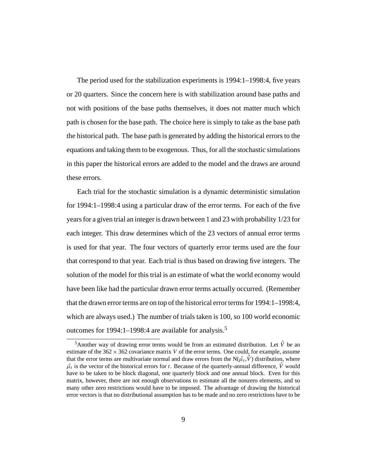The period used for the stabilization experiments is 1994:1–1998:4, five years or 20 quarters. Since the concern here is with stabilization around base paths and not with positions of the base paths themselves, it does not matter much which path is chosen for the base path. The choice here is simply to take as the base path the historical path. The base path is generated by adding the historical errors to the equations and taking them to be exogenous. Thus, for all the stochastic simulations in this paper the historical errors are added to the model and the draws are around these errors.

Each trial for the stochastic simulation is a dynamic deterministic simulation for 1994:1–1998:4 using a particular draw of the error terms. For each of the five years for a given trial an integer is drawn between 1 and 23 with probability 1/23 for each integer. This draw determines which of the 23 vectors of annual error terms is used for that year. The four vectors of quarterly error terms used are the four that correspond to that year. Each trial is thus based on drawing five integers. The solution of the model for this trial is an estimate of what the world economy would have been like had the particular drawn error terms actually occurred. (Remember that the drawn error terms are on top of the historical error terms for 1994:1–1998:4, which are always used.) The number of trials taken is 100, so 100 world economic outcomes for 1994:1–1998:4 are available for analysis.<sup>5</sup>

<sup>&</sup>lt;sup>5</sup>Another way of drawing error terms would be from an estimated distribution. Let  $\hat{V}$  be an estimate of the  $362 \times 362$  covariance matrix V of the error terms. One could, for example, assume that the error terms are multivariate normal and draw errors from the  $N(\hat{\mu}_t, \hat{V})$  distribution, where  $\hat{\mu}_t$  is the vector of the historical errors for t. Because of the quarterly-annual difference,  $\hat{V}$  would have to be taken to be block diagonal, one quarterly block and one annual block. Even for this matrix, however, there are not enough observations to estimate all the nonzero elements, and so many other zero restrictions would have to be imposed. The advantage of drawing the historical error vectors is that no distributional assumption has to be made and no zero restrictions have to be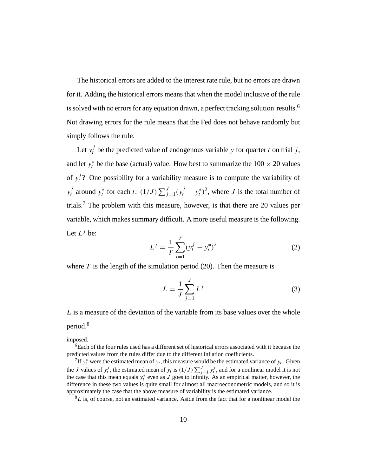The historical errors are added to the interest rate rule, but no errors are drawn for it. Adding the historical errors means that when the model inclusive of the rule is solved with no errors for any equation drawn, a perfect tracking solution results.<sup>6</sup> Not drawing errors for the rule means that the Fed does not behave randomly but simply follows the rule.

Let  $y_t^j$  be the predicted value of endogenous variable y for quarter t on trial j, and let  $y_t^*$  be the base (actual) value. How best to summarize the  $100 \times 20$  values of  $y_t^j$ ? One possibility for a variability measure is to compute the variability of  $y_t^j$  around  $y_t^*$  for each t:  $(1/J) \sum_{j=1}^J (y_t^j - y_t^*)^2$ , where J is the total number of trials.7 The problem with this measure, however, is that there are 20 values per variable, which makes summary difficult. A more useful measure is the following. Let  $L^j$  be:

$$
L^{j} = \frac{1}{T} \sum_{i=1}^{T} (y_{t}^{j} - y_{t}^{*})^{2}
$$
 (2)

where  $T$  is the length of the simulation period (20). Then the measure is

$$
L = \frac{1}{J} \sum_{j=1}^{J} L^{j}
$$
 (3)

L is a measure of the deviation of the variable from its base values over the whole period.<sup>8</sup>

imposed.

<sup>&</sup>lt;sup>6</sup>Each of the four rules used has a different set of historical errors associated with it because the predicted values from the rules differ due to the different inflation coefficients.

<sup>&</sup>lt;sup>7</sup>If  $y_t^*$  were the estimated mean of  $y_t$ , this measure would be the estimated variance of  $y_t$ . Given the J values of  $y_t^j$ , the estimated mean of  $y_t$  is  $(1/J) \sum_{j=1}^J y_t^j$ , and for a nonlinear model it is not the case that this mean equals  $y_t^*$  even as J goes to infinity. As an empirical matter, however, the difference in these two values is quite small for almost all macroeconometric models, and so it is approximately the case that the above measure of variability is the estimated variance.

 ${}^{8}L$  is, of course, not an estimated variance. Aside from the fact that for a nonlinear model the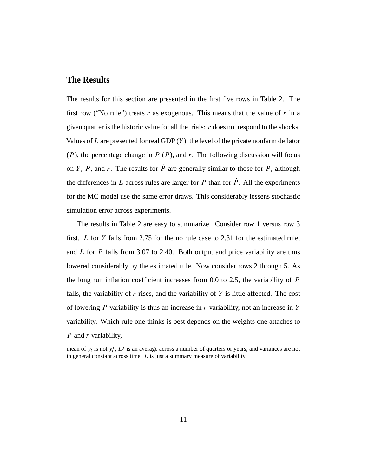#### **The Results**

The results for this section are presented in the first five rows in Table 2. The first row ("No rule") treats r as exogenous. This means that the value of r in a given quarter is the historic value for all the trials:  $r$  does not respond to the shocks. Values of  $L$  are presented for real GDP  $(Y)$ , the level of the private nonfarm deflator (P), the percentage change in P ( $\dot{P}$ ), and r. The following discussion will focus on Y, P, and r. The results for  $\dot{P}$  are generally similar to those for P, although the differences in L across rules are larger for P than for  $\dot{P}$ . All the experiments for the MC model use the same error draws. This considerably lessens stochastic simulation error across experiments.

The results in Table 2 are easy to summarize. Consider row 1 versus row 3 first. L for Y falls from 2.75 for the no rule case to 2.31 for the estimated rule, and  $L$  for  $P$  falls from 3.07 to 2.40. Both output and price variability are thus lowered considerably by the estimated rule. Now consider rows 2 through 5. As the long run inflation coefficient increases from  $0.0$  to  $2.5$ , the variability of  $P$ falls, the variability of  $r$  rises, and the variability of  $Y$  is little affected. The cost of lowering P variability is thus an increase in  $r$  variability, not an increase in Y variability. Which rule one thinks is best depends on the weights one attaches to  $P$  and  $r$  variability,

mean of  $y_t$  is not  $y_t^*$ ,  $L^j$  is an average across a number of quarters or years, and variances are not in general constant across time. L is just a summary measure of variability.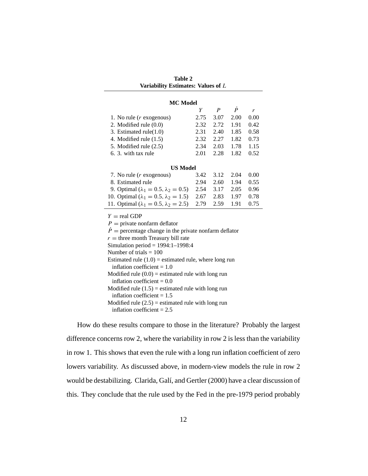| <b>Table 2</b><br>Variability Estimates: Values of L                                     |      |                  |           |      |  |  |
|------------------------------------------------------------------------------------------|------|------------------|-----------|------|--|--|
|                                                                                          |      |                  |           |      |  |  |
| <b>MC</b> Model                                                                          |      |                  |           |      |  |  |
|                                                                                          | Y    | $\boldsymbol{P}$ | $\dot{P}$ | r    |  |  |
| 1. No rule $(r \text{ exogenous})$                                                       | 2.75 | 3.07             | 2.00      | 0.00 |  |  |
| 2. Modified rule $(0.0)$                                                                 | 2.32 | 2.72             | 1.91      | 0.42 |  |  |
| 3. Estimated rule $(1.0)$                                                                | 2.31 | 2.40             | 1.85      | 0.58 |  |  |
| 4. Modified rule $(1.5)$                                                                 |      | 2.32 2.27        | 1.82      | 0.73 |  |  |
| 5. Modified rule (2.5)                                                                   |      | 2.34 2.03        | 1.78      | 1.15 |  |  |
| 6. 3. with tax rule                                                                      | 2.01 | 2.28             | 1.82      | 0.52 |  |  |
| <b>US Model</b>                                                                          |      |                  |           |      |  |  |
| 7. No rule $(r \text{ exogenous})$                                                       | 3.42 | 3.12             | 2.04      | 0.00 |  |  |
| 8. Estimated rule                                                                        | 2.94 | 2.60             | 1.94      | 0.55 |  |  |
| 9. Optimal ( $\lambda_1 = 0.5$ , $\lambda_2 = 0.5$ )                                     | 2.54 | 3.17             | 2.05      | 0.96 |  |  |
| 10. Optimal ( $\lambda_1 = 0.5$ , $\lambda_2 = 1.5$ )                                    | 2.67 | 2.83             | 1.97      | 0.78 |  |  |
| 11. Optimal ( $\lambda_1 = 0.5$ , $\lambda_2 = 2.5$ )                                    | 2.79 | 2.59             | 1.91      | 0.75 |  |  |
|                                                                                          |      |                  |           |      |  |  |
| $Y = \text{real GDP}$                                                                    |      |                  |           |      |  |  |
| $P =$ private nonfarm deflator                                                           |      |                  |           |      |  |  |
| $\dot{P}$ = percentage change in the private nonfarm deflator                            |      |                  |           |      |  |  |
| $r =$ three month Treasury bill rate                                                     |      |                  |           |      |  |  |
| Simulation period = $1994:1-1998:4$                                                      |      |                  |           |      |  |  |
| Number of trials $= 100$                                                                 |      |                  |           |      |  |  |
| Estimated rule $(1.0)$ = estimated rule, where long run<br>inflation coefficient $= 1.0$ |      |                  |           |      |  |  |
| Modified rule $(0.0)$ = estimated rule with long run                                     |      |                  |           |      |  |  |
| inflation coefficient = $0.0$                                                            |      |                  |           |      |  |  |
| Modified rule $(1.5)$ = estimated rule with long run                                     |      |                  |           |      |  |  |
| inflation coefficient $= 1.5$                                                            |      |                  |           |      |  |  |
| Modified rule $(2.5)$ = estimated rule with long run                                     |      |                  |           |      |  |  |
| inflation coefficient = $2.5$                                                            |      |                  |           |      |  |  |
|                                                                                          |      |                  |           |      |  |  |

How do these results compare to those in the literature? Probably the largest difference concerns row 2, where the variability in row 2 is less than the variability in row 1. This shows that even the rule with a long run inflation coefficient of zero lowers variability. As discussed above, in modern-view models the rule in row 2 would be destabilizing. Clarida, Galí, and Gertler (2000) have a clear discussion of this. They conclude that the rule used by the Fed in the pre-1979 period probably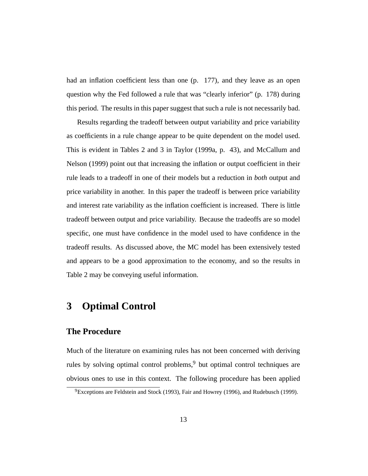had an inflation coefficient less than one (p. 177), and they leave as an open question why the Fed followed a rule that was "clearly inferior" (p. 178) during this period. The results in this paper suggest that such a rule is not necessarily bad.

Results regarding the tradeoff between output variability and price variability as coefficients in a rule change appear to be quite dependent on the model used. This is evident in Tables 2 and 3 in Taylor (1999a, p. 43), and McCallum and Nelson (1999) point out that increasing the inflation or output coefficient in their rule leads to a tradeoff in one of their models but a reduction in *both* output and price variability in another. In this paper the tradeoff is between price variability and interest rate variability as the inflation coefficient is increased. There is little tradeoff between output and price variability. Because the tradeoffs are so model specific, one must have confidence in the model used to have confidence in the tradeoff results. As discussed above, the MC model has been extensively tested and appears to be a good approximation to the economy, and so the results in Table 2 may be conveying useful information.

### **3 Optimal Control**

#### **The Procedure**

Much of the literature on examining rules has not been concerned with deriving rules by solving optimal control problems,<sup>9</sup> but optimal control techniques are obvious ones to use in this context. The following procedure has been applied

 ${}^{9}$ Exceptions are Feldstein and Stock (1993), Fair and Howrey (1996), and Rudebusch (1999).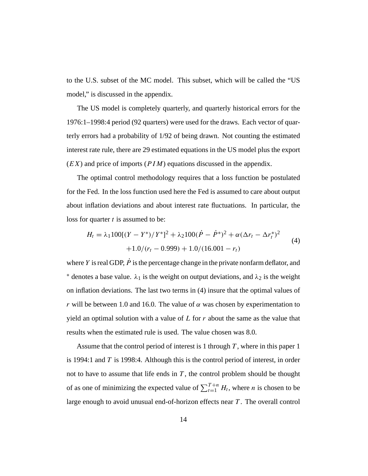to the U.S. subset of the MC model. This subset, which will be called the "US model," is discussed in the appendix.

The US model is completely quarterly, and quarterly historical errors for the 1976:1–1998:4 period (92 quarters) were used for the draws. Each vector of quarterly errors had a probability of 1/92 of being drawn. Not counting the estimated interest rate rule, there are 29 estimated equations in the US model plus the export  $(EX)$  and price of imports  $(PIM)$  equations discussed in the appendix.

The optimal control methodology requires that a loss function be postulated for the Fed. In the loss function used here the Fed is assumed to care about output about inflation deviations and about interest rate fluctuations. In particular, the loss for quarter  $t$  is assumed to be:

$$
H_t = \lambda_1 100[(Y - Y^*)/Y^*]^2 + \lambda_2 100(\dot{P} - \dot{P}^*)^2 + \alpha(\Delta r_t - \Delta r_t^*)^2
$$
  
+1.0/(r\_t - 0.999) + 1.0/(16.001 - r\_t) (4)

where Y is real GDP,  $\dot{P}$  is the percentage change in the private nonfarm deflator, and <sup>\*</sup> denotes a base value.  $\lambda_1$  is the weight on output deviations, and  $\lambda_2$  is the weight on inflation deviations. The last two terms in (4) insure that the optimal values of r will be between 1.0 and 16.0. The value of  $\alpha$  was chosen by experimentation to yield an optimal solution with a value of  $L$  for  $r$  about the same as the value that results when the estimated rule is used. The value chosen was 8.0.

Assume that the control period of interest is 1 through  $T$ , where in this paper 1 is 1994:1 and  $T$  is 1998:4. Although this is the control period of interest, in order not to have to assume that life ends in  $T$ , the control problem should be thought of as one of minimizing the expected value of  $\sum_{t=1}^{T+n} H_t$ , where *n* is chosen to be large enough to avoid unusual end-of-horizon effects near T. The overall control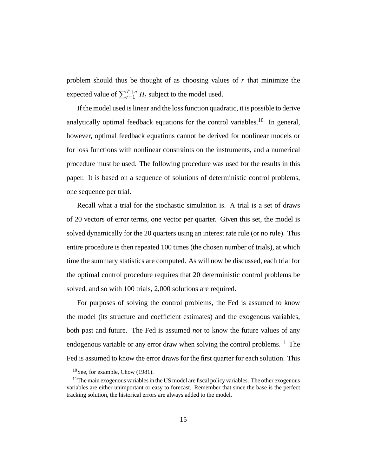problem should thus be thought of as choosing values of  $r$  that minimize the expected value of  $\sum_{t=1}^{T+n} H_t$  subject to the model used.

If the model used is linear and the loss function quadratic, it is possible to derive analytically optimal feedback equations for the control variables.<sup>10</sup> In general, however, optimal feedback equations cannot be derived for nonlinear models or for loss functions with nonlinear constraints on the instruments, and a numerical procedure must be used. The following procedure was used for the results in this paper. It is based on a sequence of solutions of deterministic control problems, one sequence per trial.

Recall what a trial for the stochastic simulation is. A trial is a set of draws of 20 vectors of error terms, one vector per quarter. Given this set, the model is solved dynamically for the 20 quarters using an interest rate rule (or no rule). This entire procedure is then repeated 100 times (the chosen number of trials), at which time the summary statistics are computed. As will now be discussed, each trial for the optimal control procedure requires that 20 deterministic control problems be solved, and so with 100 trials, 2,000 solutions are required.

For purposes of solving the control problems, the Fed is assumed to know the model (its structure and coefficient estimates) and the exogenous variables, both past and future. The Fed is assumed *not* to know the future values of any endogenous variable or any error draw when solving the control problems.<sup>11</sup> The Fed is assumed to know the error draws for the first quarter for each solution. This

 $10$ See, for example, Chow (1981).

 $11$ The main exogenous variables in the US model are fiscal policy variables. The other exogenous variables are either unimportant or easy to forecast. Remember that since the base is the perfect tracking solution, the historical errors are always added to the model.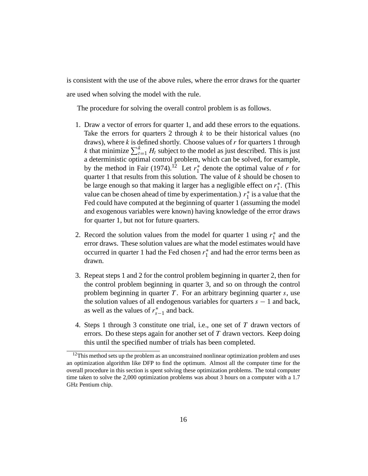is consistent with the use of the above rules, where the error draws for the quarter are used when solving the model with the rule.

The procedure for solving the overall control problem is as follows.

- 1. Draw a vector of errors for quarter 1, and add these errors to the equations. Take the errors for quarters 2 through  $k$  to be their historical values (no draws), where  $k$  is defined shortly. Choose values of  $r$  for quarters 1 through k that minimize  $\sum_{t=1}^{k} H_t$  subject to the model as just described. This is just a deterministic optimal control problem, which can be solved, for example, by the method in Fair (1974).<sup>12</sup> Let  $r_1^*$  denote the optimal value of r for quarter 1 that results from this solution. The value of  $k$  should be chosen to be large enough so that making it larger has a negligible effect on  $r_1^*$ . (This value can be chosen ahead of time by experimentation.)  $r_1^*$  is a value that the Fed could have computed at the beginning of quarter 1 (assuming the model and exogenous variables were known) having knowledge of the error draws for quarter 1, but not for future quarters.
- 2. Record the solution values from the model for quarter 1 using  $r_1^*$  and the error draws. These solution values are what the model estimates would have occurred in quarter 1 had the Fed chosen  $r_1^*$  and had the error terms been as drawn.
- 3. Repeat steps 1 and 2 for the control problem beginning in quarter 2, then for the control problem beginning in quarter 3, and so on through the control problem beginning in quarter  $T$ . For an arbitrary beginning quarter  $s$ , use the solution values of all endogenous variables for quarters  $s - 1$  and back, as well as the values of  $r_{s-1}^*$  and back.
- 4. Steps 1 through 3 constitute one trial, i.e., one set of T drawn vectors of errors. Do these steps again for another set of  $T$  drawn vectors. Keep doing this until the specified number of trials has been completed.

 $12$ This method sets up the problem as an unconstrained nonlinear optimization problem and uses an optimization algorithm like DFP to find the optimum. Almost all the computer time for the overall procedure in this section is spent solving these optimization problems. The total computer time taken to solve the 2,000 optimization problems was about 3 hours on a computer with a 1.7 GHz Pentium chip.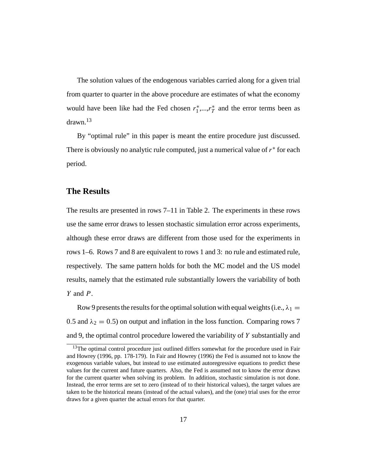The solution values of the endogenous variables carried along for a given trial from quarter to quarter in the above procedure are estimates of what the economy would have been like had the Fed chosen  $r_1^*,...,r_T^*$  and the error terms been as drawn.13

By "optimal rule" in this paper is meant the entire procedure just discussed. There is obviously no analytic rule computed, just a numerical value of  $r<sup>*</sup>$  for each period.

#### **The Results**

The results are presented in rows 7–11 in Table 2. The experiments in these rows use the same error draws to lessen stochastic simulation error across experiments, although these error draws are different from those used for the experiments in rows 1–6. Rows 7 and 8 are equivalent to rows 1 and 3: no rule and estimated rule, respectively. The same pattern holds for both the MC model and the US model results, namely that the estimated rule substantially lowers the variability of both Y and P.

Row 9 presents the results for the optimal solution with equal weights (i.e.,  $\lambda_1 =$ 0.5 and  $\lambda_2 = 0.5$ ) on output and inflation in the loss function. Comparing rows 7 and 9, the optimal control procedure lowered the variability of Y substantially and

<sup>&</sup>lt;sup>13</sup>The optimal control procedure just outlined differs somewhat for the procedure used in Fair and Howrey (1996, pp. 178-179). In Fair and Howrey (1996) the Fed is assumed not to know the exogenous variable values, but instead to use estimated autoregressive equations to predict these values for the current and future quarters. Also, the Fed is assumed not to know the error draws for the current quarter when solving its problem. In addition, stochastic simulation is not done. Instead, the error terms are set to zero (instead of to their historical values), the target values are taken to be the historical means (instead of the actual values), and the (one) trial uses for the error draws for a given quarter the actual errors for that quarter.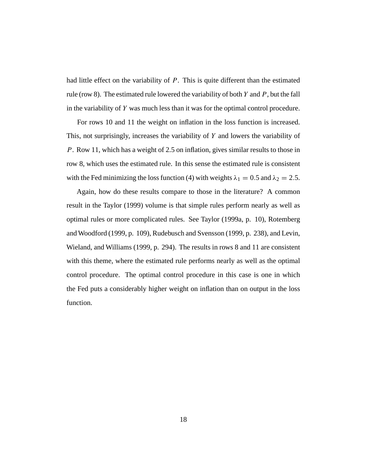had little effect on the variability of  $P$ . This is quite different than the estimated rule (row 8). The estimated rule lowered the variability of both  $Y$  and  $P$ , but the fall in the variability of Y was much less than it was for the optimal control procedure.

For rows 10 and 11 the weight on inflation in the loss function is increased. This, not surprisingly, increases the variability of Y and lowers the variability of P. Row 11, which has a weight of 2.5 on inflation, gives similar results to those in row 8, which uses the estimated rule. In this sense the estimated rule is consistent with the Fed minimizing the loss function (4) with weights  $\lambda_1 = 0.5$  and  $\lambda_2 = 2.5$ .

Again, how do these results compare to those in the literature? A common result in the Taylor (1999) volume is that simple rules perform nearly as well as optimal rules or more complicated rules. See Taylor (1999a, p. 10), Rotemberg and Woodford (1999, p. 109), Rudebusch and Svensson (1999, p. 238), and Levin, Wieland, and Williams (1999, p. 294). The results in rows 8 and 11 are consistent with this theme, where the estimated rule performs nearly as well as the optimal control procedure. The optimal control procedure in this case is one in which the Fed puts a considerably higher weight on inflation than on output in the loss function.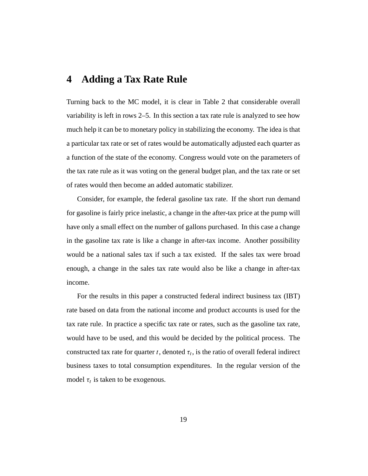### **4 Adding a Tax Rate Rule**

Turning back to the MC model, it is clear in Table 2 that considerable overall variability is left in rows 2–5. In this section a tax rate rule is analyzed to see how much help it can be to monetary policy in stabilizing the economy. The idea is that a particular tax rate or set of rates would be automatically adjusted each quarter as a function of the state of the economy. Congress would vote on the parameters of the tax rate rule as it was voting on the general budget plan, and the tax rate or set of rates would then become an added automatic stabilizer.

Consider, for example, the federal gasoline tax rate. If the short run demand for gasoline is fairly price inelastic, a change in the after-tax price at the pump will have only a small effect on the number of gallons purchased. In this case a change in the gasoline tax rate is like a change in after-tax income. Another possibility would be a national sales tax if such a tax existed. If the sales tax were broad enough, a change in the sales tax rate would also be like a change in after-tax income.

For the results in this paper a constructed federal indirect business tax (IBT) rate based on data from the national income and product accounts is used for the tax rate rule. In practice a specific tax rate or rates, such as the gasoline tax rate, would have to be used, and this would be decided by the political process. The constructed tax rate for quarter t, denoted  $\tau_t$ , is the ratio of overall federal indirect business taxes to total consumption expenditures. In the regular version of the model  $\tau_t$  is taken to be exogenous.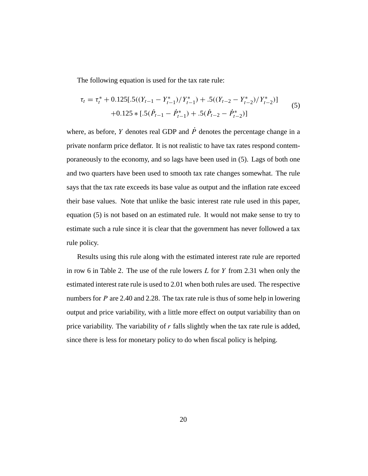The following equation is used for the tax rate rule:

$$
\tau_t = \tau_t^* + 0.125[.5((Y_{t-1} - Y_{t-1}^*)/Y_{t-1}^*) + .5((Y_{t-2} - Y_{t-2}^*)/Y_{t-2}^*)]
$$
  
+0.125 \* [.5( $\dot{P}_{t-1} - \dot{P}_{t-1}^*$ ) + .5( $\dot{P}_{t-2} - \dot{P}_{t-2}^*$ )] (5)

where, as before, Y denotes real GDP and  $\dot{P}$  denotes the percentage change in a private nonfarm price deflator. It is not realistic to have tax rates respond contemporaneously to the economy, and so lags have been used in (5). Lags of both one and two quarters have been used to smooth tax rate changes somewhat. The rule says that the tax rate exceeds its base value as output and the inflation rate exceed their base values. Note that unlike the basic interest rate rule used in this paper, equation (5) is not based on an estimated rule. It would not make sense to try to estimate such a rule since it is clear that the government has never followed a tax rule policy.

Results using this rule along with the estimated interest rate rule are reported in row 6 in Table 2. The use of the rule lowers  $L$  for  $Y$  from 2.31 when only the estimated interest rate rule is used to 2.01 when both rules are used. The respective numbers for  $P$  are 2.40 and 2.28. The tax rate rule is thus of some help in lowering output and price variability, with a little more effect on output variability than on price variability. The variability of  $r$  falls slightly when the tax rate rule is added, since there is less for monetary policy to do when fiscal policy is helping.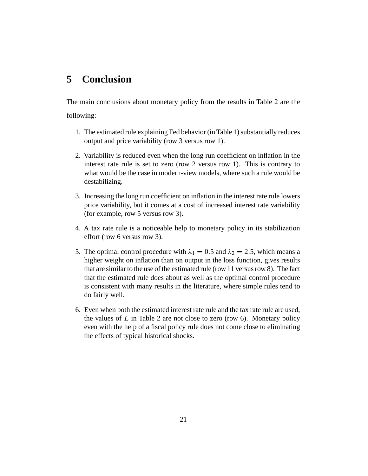### **5 Conclusion**

The main conclusions about monetary policy from the results in Table 2 are the following:

- 1. The estimated rule explaining Fed behavior (in Table 1) substantially reduces output and price variability (row 3 versus row 1).
- 2. Variability is reduced even when the long run coefficient on inflation in the interest rate rule is set to zero (row 2 versus row 1). This is contrary to what would be the case in modern-view models, where such a rule would be destabilizing.
- 3. Increasing the long run coefficient on inflation in the interest rate rule lowers price variability, but it comes at a cost of increased interest rate variability (for example, row 5 versus row 3).
- 4. A tax rate rule is a noticeable help to monetary policy in its stabilization effort (row 6 versus row 3).
- 5. The optimal control procedure with  $\lambda_1 = 0.5$  and  $\lambda_2 = 2.5$ , which means a higher weight on inflation than on output in the loss function, gives results that are similar to the use of the estimated rule (row 11 versus row 8). The fact that the estimated rule does about as well as the optimal control procedure is consistent with many results in the literature, where simple rules tend to do fairly well.
- 6. Even when both the estimated interest rate rule and the tax rate rule are used, the values of  $L$  in Table 2 are not close to zero (row 6). Monetary policy even with the help of a fiscal policy rule does not come close to eliminating the effects of typical historical shocks.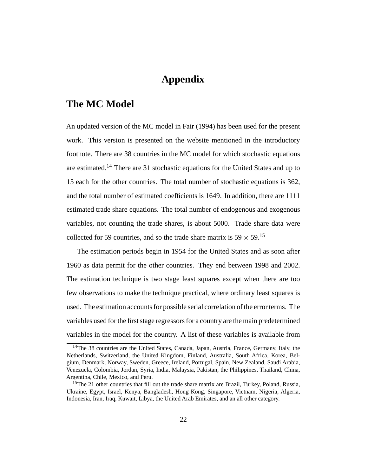### **Appendix**

### **The MC Model**

An updated version of the MC model in Fair (1994) has been used for the present work. This version is presented on the website mentioned in the introductory footnote. There are 38 countries in the MC model for which stochastic equations are estimated.14 There are 31 stochastic equations for the United States and up to 15 each for the other countries. The total number of stochastic equations is 362, and the total number of estimated coefficients is 1649. In addition, there are 1111 estimated trade share equations. The total number of endogenous and exogenous variables, not counting the trade shares, is about 5000. Trade share data were collected for 59 countries, and so the trade share matrix is  $59 \times 59$ .<sup>15</sup>

The estimation periods begin in 1954 for the United States and as soon after 1960 as data permit for the other countries. They end between 1998 and 2002. The estimation technique is two stage least squares except when there are too few observations to make the technique practical, where ordinary least squares is used. The estimation accounts for possible serial correlation of the error terms. The variables used for the first stage regressors for a country are the main predetermined variables in the model for the country. A list of these variables is available from

<sup>&</sup>lt;sup>14</sup>The 38 countries are the United States, Canada, Japan, Austria, France, Germany, Italy, the Netherlands, Switzerland, the United Kingdom, Finland, Australia, South Africa, Korea, Belgium, Denmark, Norway, Sweden, Greece, Ireland, Portugal, Spain, New Zealand, Saudi Arabia, Venezuela, Colombia, Jordan, Syria, India, Malaysia, Pakistan, the Philippines, Thailand, China, Argentina, Chile, Mexico, and Peru.

<sup>&</sup>lt;sup>15</sup>The 21 other countries that fill out the trade share matrix are Brazil, Turkey, Poland, Russia, Ukraine, Egypt, Israel, Kenya, Bangladesh, Hong Kong, Singapore, Vietnam, Nigeria, Algeria, Indonesia, Iran, Iraq, Kuwait, Libya, the United Arab Emirates, and an all other category.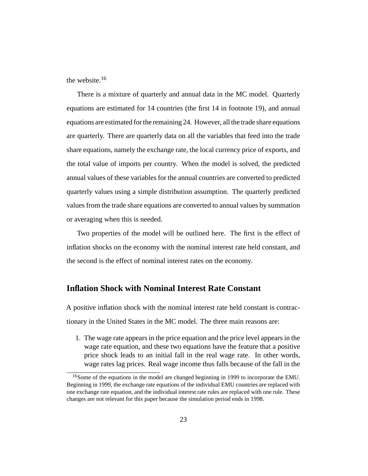the website.16

There is a mixture of quarterly and annual data in the MC model. Quarterly equations are estimated for 14 countries (the first 14 in footnote 19), and annual equations are estimated for the remaining 24. However, all the trade share equations are quarterly. There are quarterly data on all the variables that feed into the trade share equations, namely the exchange rate, the local currency price of exports, and the total value of imports per country. When the model is solved, the predicted annual values of these variables for the annual countries are converted to predicted quarterly values using a simple distribution assumption. The quarterly predicted values from the trade share equations are converted to annual values by summation or averaging when this is needed.

Two properties of the model will be outlined here. The first is the effect of inflation shocks on the economy with the nominal interest rate held constant, and the second is the effect of nominal interest rates on the economy.

#### **Inflation Shock with Nominal Interest Rate Constant**

A positive inflation shock with the nominal interest rate held constant is contractionary in the United States in the MC model. The three main reasons are:

1. The wage rate appears in the price equation and the price level appears in the wage rate equation, and these two equations have the feature that a positive price shock leads to an initial fall in the real wage rate. In other words, wage rates lag prices. Real wage income thus falls because of the fall in the

<sup>&</sup>lt;sup>16</sup>Some of the equations in the model are changed beginning in 1999 to incorporate the EMU. Beginning in 1999, the exchange rate equations of the individual EMU countries are replaced with one exchange rate equation, and the individual interest rate rules are replaced with one rule. These changes are not relevant for this paper because the simulation period ends in 1998.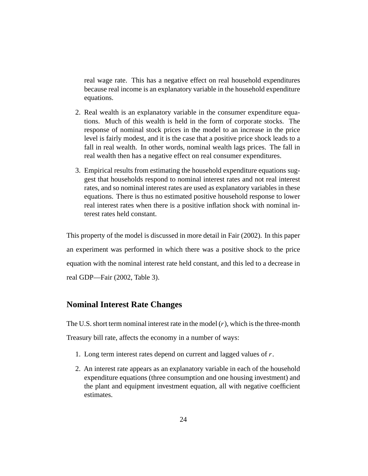real wage rate. This has a negative effect on real household expenditures because real income is an explanatory variable in the household expenditure equations.

- 2. Real wealth is an explanatory variable in the consumer expenditure equations. Much of this wealth is held in the form of corporate stocks. The response of nominal stock prices in the model to an increase in the price level is fairly modest, and it is the case that a positive price shock leads to a fall in real wealth. In other words, nominal wealth lags prices. The fall in real wealth then has a negative effect on real consumer expenditures.
- 3. Empirical results from estimating the household expenditure equations suggest that households respond to nominal interest rates and not real interest rates, and so nominal interest rates are used as explanatory variables in these equations. There is thus no estimated positive household response to lower real interest rates when there is a positive inflation shock with nominal interest rates held constant.

This property of the model is discussed in more detail in Fair (2002). In this paper an experiment was performed in which there was a positive shock to the price equation with the nominal interest rate held constant, and this led to a decrease in real GDP—Fair (2002, Table 3).

#### **Nominal Interest Rate Changes**

The U.S. short term nominal interest rate in the model  $(r)$ , which is the three-month Treasury bill rate, affects the economy in a number of ways:

- 1. Long term interest rates depend on current and lagged values of r.
- 2. An interest rate appears as an explanatory variable in each of the household expenditure equations (three consumption and one housing investment) and the plant and equipment investment equation, all with negative coefficient estimates.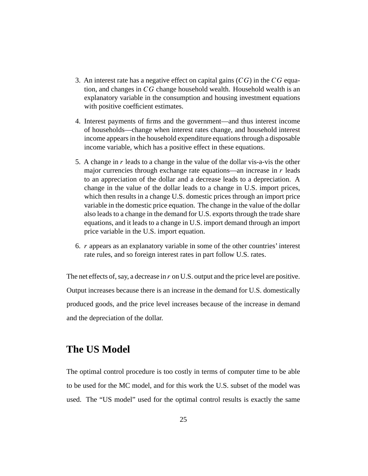- 3. An interest rate has a negative effect on capital gains  $(CG)$  in the CG equation, and changes in CG change household wealth. Household wealth is an explanatory variable in the consumption and housing investment equations with positive coefficient estimates.
- 4. Interest payments of firms and the government—and thus interest income of households—change when interest rates change, and household interest income appears in the household expenditure equations through a disposable income variable, which has a positive effect in these equations.
- 5. A change in  $r$  leads to a change in the value of the dollar vis-a-vis the other major currencies through exchange rate equations—an increase in  $r$  leads to an appreciation of the dollar and a decrease leads to a depreciation. A change in the value of the dollar leads to a change in U.S. import prices, which then results in a change U.S. domestic prices through an import price variable in the domestic price equation. The change in the value of the dollar also leads to a change in the demand for U.S. exports through the trade share equations, and it leads to a change in U.S. import demand through an import price variable in the U.S. import equation.
- 6. r appears as an explanatory variable in some of the other countries' interest rate rules, and so foreign interest rates in part follow U.S. rates.

The net effects of, say, a decrease in r on U.S. output and the price level are positive. Output increases because there is an increase in the demand for U.S. domestically produced goods, and the price level increases because of the increase in demand and the depreciation of the dollar.

### **The US Model**

The optimal control procedure is too costly in terms of computer time to be able to be used for the MC model, and for this work the U.S. subset of the model was used. The "US model" used for the optimal control results is exactly the same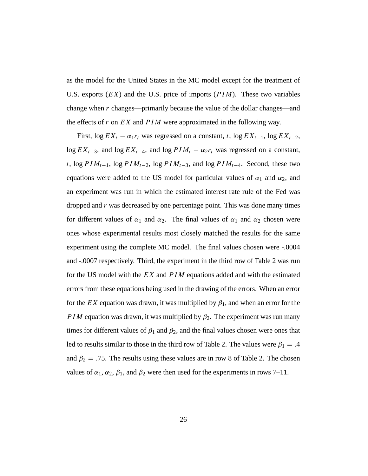as the model for the United States in the MC model except for the treatment of U.S. exports  $(EX)$  and the U.S. price of imports  $(PIM)$ . These two variables change when r changes—primarily because the value of the dollar changes—and the effects of r on  $EX$  and  $PIM$  were approximated in the following way.

First, log  $EX_t - \alpha_1 r_t$  was regressed on a constant, t, log  $EX_{t-1}$ , log  $EX_{t-2}$ , log  $EX_{t-3}$ , and log  $EX_{t-4}$ , and log  $PIM_t - \alpha_2r_t$  was regressed on a constant, t, log  $PIM_{t-1}$ , log  $PIM_{t-2}$ , log  $PIM_{t-3}$ , and log  $PIM_{t-4}$ . Second, these two equations were added to the US model for particular values of  $\alpha_1$  and  $\alpha_2$ , and an experiment was run in which the estimated interest rate rule of the Fed was dropped and  $r$  was decreased by one percentage point. This was done many times for different values of  $\alpha_1$  and  $\alpha_2$ . The final values of  $\alpha_1$  and  $\alpha_2$  chosen were ones whose experimental results most closely matched the results for the same experiment using the complete MC model. The final values chosen were -.0004 and -.0007 respectively. Third, the experiment in the third row of Table 2 was run for the US model with the  $EX$  and  $PIM$  equations added and with the estimated errors from these equations being used in the drawing of the errors. When an error for the EX equation was drawn, it was multiplied by  $\beta_1$ , and when an error for the PIM equation was drawn, it was multiplied by  $\beta_2$ . The experiment was run many times for different values of  $\beta_1$  and  $\beta_2$ , and the final values chosen were ones that led to results similar to those in the third row of Table 2. The values were  $\beta_1 = .4$ and  $\beta_2 = .75$ . The results using these values are in row 8 of Table 2. The chosen values of  $\alpha_1$ ,  $\alpha_2$ ,  $\beta_1$ , and  $\beta_2$  were then used for the experiments in rows 7–11.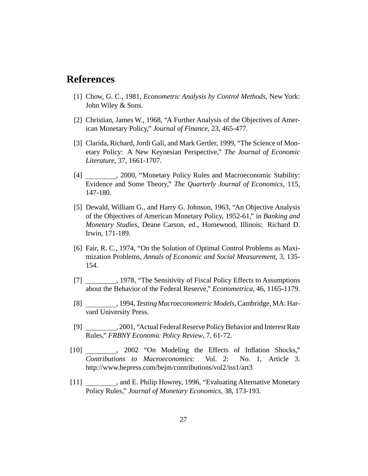### **References**

- [1] Chow, G. C., 1981, *Econometric Analysis by Control Methods*, New York: John Wiley & Sons.
- [2] Christian, James W., 1968, "A Further Analysis of the Objectives of American Monetary Policy," *Journal of Finance*, 23, 465-477.
- [3] Clarida, Richard, Jordi Galí, and Mark Gertler, 1999, "The Science of Monetary Policy: A New Keynesian Perspective," *The Journal of Economic Literature*, 37, 1661-1707.
- [4] , 2000, "Monetary Policy Rules and Macroeconomic Stability: Evidence and Some Theory," *The Quarterly Journal of Economics*, 115, 147-180.
- [5] Dewald, William G., and Harry G. Johnson, 1963, "An Objective Analysis of the Objectives of American Monetary Policy, 1952-61," in *Banking and Monetary Studies*, Deane Carson, ed., Homewood, Illinois: Richard D. Irwin, 171-189.
- [6] Fair, R. C., 1974, "On the Solution of Optimal Control Problems as Maximization Problems, *Annals of Economic and Social Measurement*, 3, 135- 154.
- [7] 1978, "The Sensitivity of Fiscal Policy Effects to Assumptions about the Behavior of the Federal Reserve," *Econometrica*, 46, 1165-1179.
- [8] , 1994, *Testing Macroeconometric Models*, Cambridge, MA: Harvard University Press.
- [9] , 2001, "Actual Federal Reserve Policy Behavior and Interest Rate Rules," *FRBNY Economic Policy Review*, 7, 61-72.
- [10] \_\_\_\_\_\_\_, 2002 "On Modeling the Effects of Inflation Shocks," *Contributions to Macroeconomics*: Vol. 2: No. 1, Article 3. http://www.bepress.com/bejm/contributions/vol2/iss1/art3
- [11] \_\_\_\_\_\_\_\_, and E. Philip Howrey, 1996, "Evaluating Alternative Monetary Policy Rules," *Journal of Monetary Economics*, 38, 173-193.